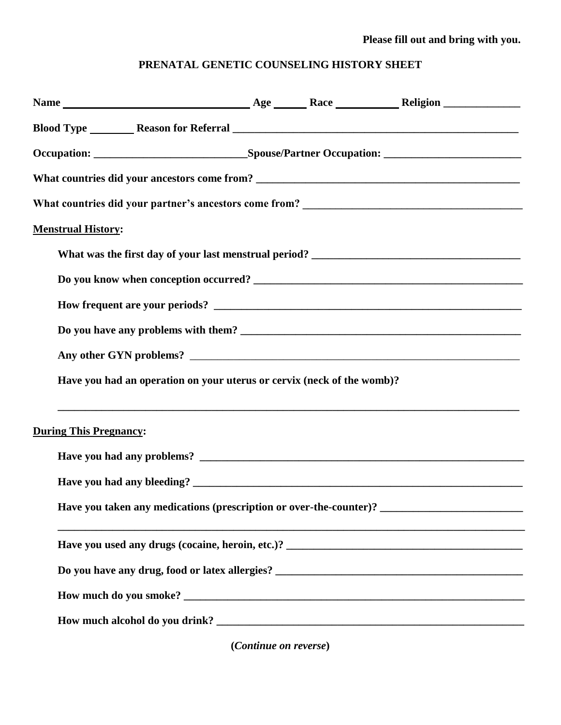## **Please fill out and bring with you.**

## **PRENATAL GENETIC COUNSELING HISTORY SHEET**

| <b>Menstrual History:</b>                                              |  |  |
|------------------------------------------------------------------------|--|--|
|                                                                        |  |  |
|                                                                        |  |  |
|                                                                        |  |  |
|                                                                        |  |  |
|                                                                        |  |  |
| Have you had an operation on your uterus or cervix (neck of the womb)? |  |  |
| <b>During This Pregnancy:</b>                                          |  |  |
|                                                                        |  |  |
|                                                                        |  |  |
|                                                                        |  |  |
|                                                                        |  |  |
|                                                                        |  |  |
|                                                                        |  |  |
|                                                                        |  |  |

**(***Continue on reverse***)**